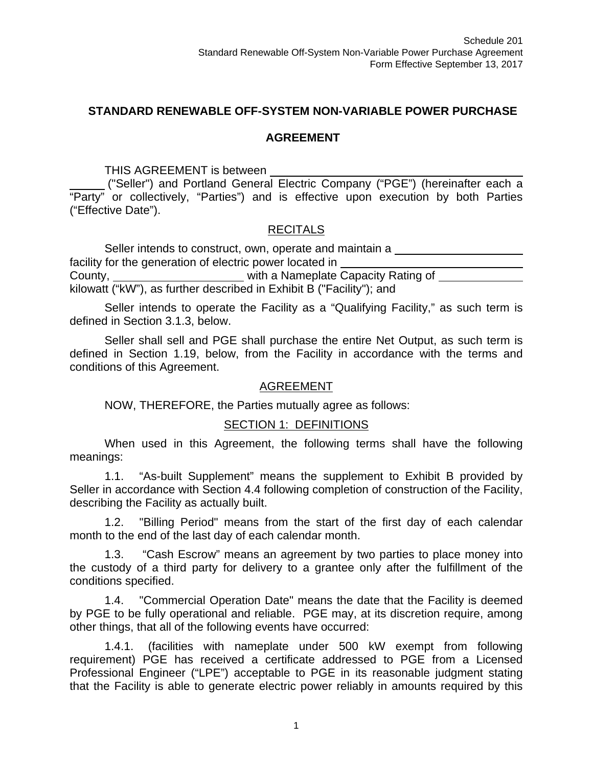## **STANDARD RENEWABLE OFF-SYSTEM NON-VARIABLE POWER PURCHASE**

## **AGREEMENT**

THIS AGREEMENT is between

 ("Seller") and Portland General Electric Company ("PGE") (hereinafter each a "Party" or collectively, "Parties") and is effective upon execution by both Parties ("Effective Date").

## **RECITALS**

Seller intends to construct, own, operate and maintain a facility for the generation of electric power located in County, with a Nameplate Capacity Rating of kilowatt ("kW"), as further described in Exhibit B ("Facility"); and

Seller intends to operate the Facility as a "Qualifying Facility," as such term is defined in Section 3.1.3, below.

Seller shall sell and PGE shall purchase the entire Net Output, as such term is defined in Section 1.19, below, from the Facility in accordance with the terms and conditions of this Agreement.

#### AGREEMENT

NOW, THEREFORE, the Parties mutually agree as follows:

## SECTION 1: DEFINITIONS

When used in this Agreement, the following terms shall have the following meanings:

1.1. "As-built Supplement" means the supplement to Exhibit B provided by Seller in accordance with Section 4.4 following completion of construction of the Facility, describing the Facility as actually built.

1.2. "Billing Period" means from the start of the first day of each calendar month to the end of the last day of each calendar month.

1.3. "Cash Escrow" means an agreement by two parties to place money into the custody of a third party for delivery to a grantee only after the fulfillment of the conditions specified.

1.4. "Commercial Operation Date" means the date that the Facility is deemed by PGE to be fully operational and reliable. PGE may, at its discretion require, among other things, that all of the following events have occurred:

1.4.1. (facilities with nameplate under 500 kW exempt from following requirement) PGE has received a certificate addressed to PGE from a Licensed Professional Engineer ("LPE") acceptable to PGE in its reasonable judgment stating that the Facility is able to generate electric power reliably in amounts required by this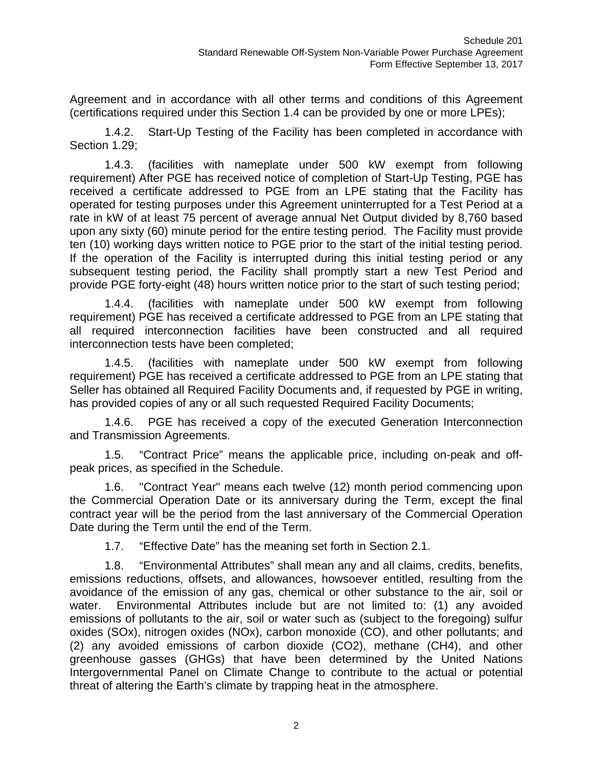Agreement and in accordance with all other terms and conditions of this Agreement (certifications required under this Section 1.4 can be provided by one or more LPEs);

1.4.2. Start-Up Testing of the Facility has been completed in accordance with Section 1.29;

1.4.3. (facilities with nameplate under 500 kW exempt from following requirement) After PGE has received notice of completion of Start-Up Testing, PGE has received a certificate addressed to PGE from an LPE stating that the Facility has operated for testing purposes under this Agreement uninterrupted for a Test Period at a rate in kW of at least 75 percent of average annual Net Output divided by 8,760 based upon any sixty (60) minute period for the entire testing period. The Facility must provide ten (10) working days written notice to PGE prior to the start of the initial testing period. If the operation of the Facility is interrupted during this initial testing period or any subsequent testing period, the Facility shall promptly start a new Test Period and provide PGE forty-eight (48) hours written notice prior to the start of such testing period;

1.4.4. (facilities with nameplate under 500 kW exempt from following requirement) PGE has received a certificate addressed to PGE from an LPE stating that all required interconnection facilities have been constructed and all required interconnection tests have been completed;

1.4.5. (facilities with nameplate under 500 kW exempt from following requirement) PGE has received a certificate addressed to PGE from an LPE stating that Seller has obtained all Required Facility Documents and, if requested by PGE in writing, has provided copies of any or all such requested Required Facility Documents;

1.4.6. PGE has received a copy of the executed Generation Interconnection and Transmission Agreements.

1.5. "Contract Price" means the applicable price, including on-peak and offpeak prices, as specified in the Schedule.

1.6. "Contract Year" means each twelve (12) month period commencing upon the Commercial Operation Date or its anniversary during the Term, except the final contract year will be the period from the last anniversary of the Commercial Operation Date during the Term until the end of the Term.

1.7. "Effective Date" has the meaning set forth in Section 2.1.

1.8. "Environmental Attributes" shall mean any and all claims, credits, benefits, emissions reductions, offsets, and allowances, howsoever entitled, resulting from the avoidance of the emission of any gas, chemical or other substance to the air, soil or water. Environmental Attributes include but are not limited to: (1) any avoided emissions of pollutants to the air, soil or water such as (subject to the foregoing) sulfur oxides (SOx), nitrogen oxides (NOx), carbon monoxide (CO), and other pollutants; and (2) any avoided emissions of carbon dioxide (CO2), methane (CH4), and other greenhouse gasses (GHGs) that have been determined by the United Nations Intergovernmental Panel on Climate Change to contribute to the actual or potential threat of altering the Earth's climate by trapping heat in the atmosphere.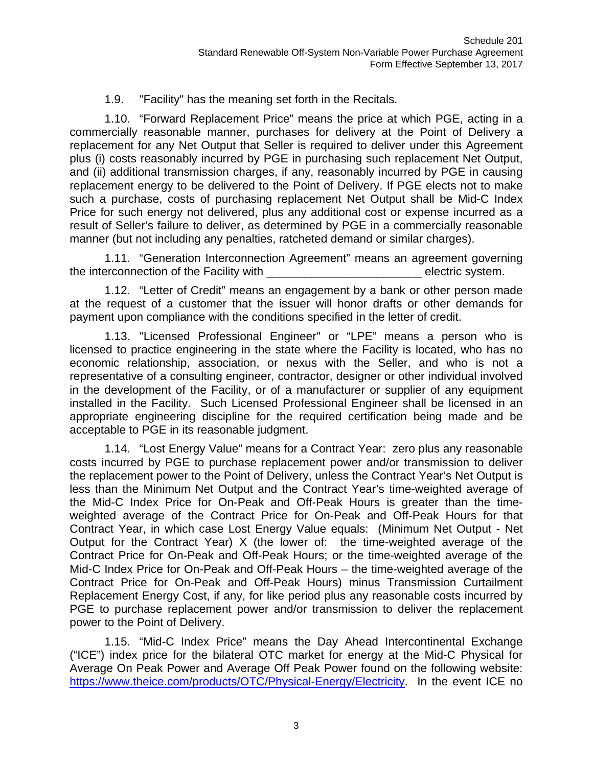## 1.9. "Facility" has the meaning set forth in the Recitals.

1.10. "Forward Replacement Price" means the price at which PGE, acting in a commercially reasonable manner, purchases for delivery at the Point of Delivery a replacement for any Net Output that Seller is required to deliver under this Agreement plus (i) costs reasonably incurred by PGE in purchasing such replacement Net Output, and (ii) additional transmission charges, if any, reasonably incurred by PGE in causing replacement energy to be delivered to the Point of Delivery. If PGE elects not to make such a purchase, costs of purchasing replacement Net Output shall be Mid-C Index Price for such energy not delivered, plus any additional cost or expense incurred as a result of Seller's failure to deliver, as determined by PGE in a commercially reasonable manner (but not including any penalties, ratcheted demand or similar charges).

1.11. "Generation Interconnection Agreement" means an agreement governing the interconnection of the Facility with **Example 20** electric system.

1.12. "Letter of Credit" means an engagement by a bank or other person made at the request of a customer that the issuer will honor drafts or other demands for payment upon compliance with the conditions specified in the letter of credit.

1.13. "Licensed Professional Engineer" or "LPE" means a person who is licensed to practice engineering in the state where the Facility is located, who has no economic relationship, association, or nexus with the Seller, and who is not a representative of a consulting engineer, contractor, designer or other individual involved in the development of the Facility, or of a manufacturer or supplier of any equipment installed in the Facility. Such Licensed Professional Engineer shall be licensed in an appropriate engineering discipline for the required certification being made and be acceptable to PGE in its reasonable judgment.

1.14. "Lost Energy Value" means for a Contract Year: zero plus any reasonable costs incurred by PGE to purchase replacement power and/or transmission to deliver the replacement power to the Point of Delivery, unless the Contract Year's Net Output is less than the Minimum Net Output and the Contract Year's time-weighted average of the Mid-C Index Price for On-Peak and Off-Peak Hours is greater than the timeweighted average of the Contract Price for On-Peak and Off-Peak Hours for that Contract Year, in which case Lost Energy Value equals: (Minimum Net Output - Net Output for the Contract Year) X (the lower of: the time-weighted average of the Contract Price for On-Peak and Off-Peak Hours; or the time-weighted average of the Mid-C Index Price for On-Peak and Off-Peak Hours – the time-weighted average of the Contract Price for On-Peak and Off-Peak Hours) minus Transmission Curtailment Replacement Energy Cost, if any, for like period plus any reasonable costs incurred by PGE to purchase replacement power and/or transmission to deliver the replacement power to the Point of Delivery.

1.15. "Mid-C Index Price" means the Day Ahead Intercontinental Exchange ("ICE") index price for the bilateral OTC market for energy at the Mid-C Physical for Average On Peak Power and Average Off Peak Power found on the following website: https://www.theice.com/products/OTC/Physical-Energy/Electricity. In the event ICE no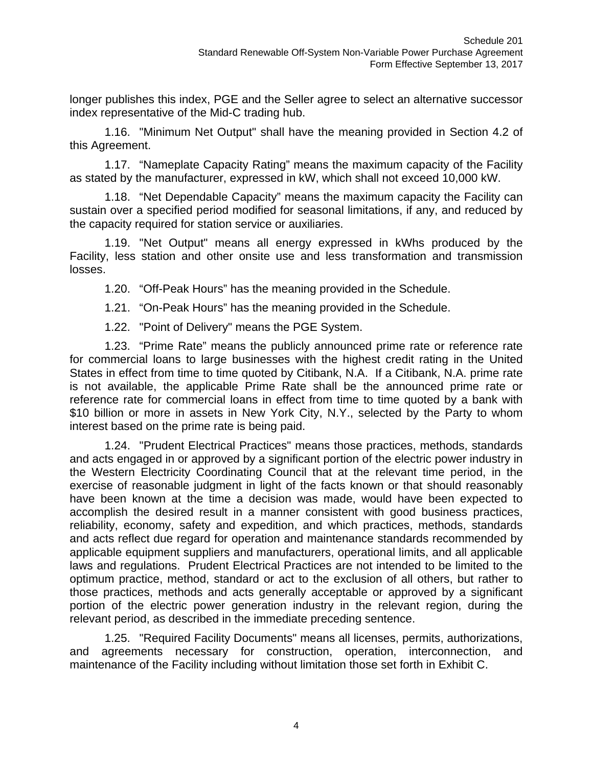longer publishes this index, PGE and the Seller agree to select an alternative successor index representative of the Mid-C trading hub.

1.16. "Minimum Net Output" shall have the meaning provided in Section 4.2 of this Agreement.

1.17. "Nameplate Capacity Rating" means the maximum capacity of the Facility as stated by the manufacturer, expressed in kW, which shall not exceed 10,000 kW.

1.18. "Net Dependable Capacity" means the maximum capacity the Facility can sustain over a specified period modified for seasonal limitations, if any, and reduced by the capacity required for station service or auxiliaries.

1.19. "Net Output" means all energy expressed in kWhs produced by the Facility, less station and other onsite use and less transformation and transmission losses.

1.20. "Off-Peak Hours" has the meaning provided in the Schedule.

1.21. "On-Peak Hours" has the meaning provided in the Schedule.

1.22. "Point of Delivery" means the PGE System.

1.23. "Prime Rate" means the publicly announced prime rate or reference rate for commercial loans to large businesses with the highest credit rating in the United States in effect from time to time quoted by Citibank, N.A. If a Citibank, N.A. prime rate is not available, the applicable Prime Rate shall be the announced prime rate or reference rate for commercial loans in effect from time to time quoted by a bank with \$10 billion or more in assets in New York City, N.Y., selected by the Party to whom interest based on the prime rate is being paid.

1.24. "Prudent Electrical Practices" means those practices, methods, standards and acts engaged in or approved by a significant portion of the electric power industry in the Western Electricity Coordinating Council that at the relevant time period, in the exercise of reasonable judgment in light of the facts known or that should reasonably have been known at the time a decision was made, would have been expected to accomplish the desired result in a manner consistent with good business practices, reliability, economy, safety and expedition, and which practices, methods, standards and acts reflect due regard for operation and maintenance standards recommended by applicable equipment suppliers and manufacturers, operational limits, and all applicable laws and regulations. Prudent Electrical Practices are not intended to be limited to the optimum practice, method, standard or act to the exclusion of all others, but rather to those practices, methods and acts generally acceptable or approved by a significant portion of the electric power generation industry in the relevant region, during the relevant period, as described in the immediate preceding sentence.

1.25. "Required Facility Documents" means all licenses, permits, authorizations, and agreements necessary for construction, operation, interconnection, and maintenance of the Facility including without limitation those set forth in Exhibit C.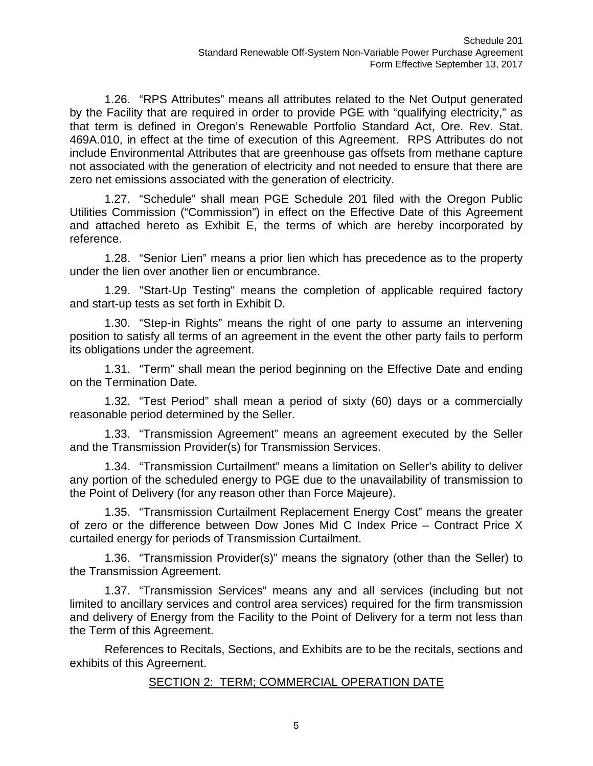1.26. "RPS Attributes" means all attributes related to the Net Output generated by the Facility that are required in order to provide PGE with "qualifying electricity," as that term is defined in Oregon's Renewable Portfolio Standard Act, Ore. Rev. Stat. 469A.010, in effect at the time of execution of this Agreement. RPS Attributes do not include Environmental Attributes that are greenhouse gas offsets from methane capture not associated with the generation of electricity and not needed to ensure that there are zero net emissions associated with the generation of electricity.

1.27. "Schedule" shall mean PGE Schedule 201 filed with the Oregon Public Utilities Commission ("Commission") in effect on the Effective Date of this Agreement and attached hereto as Exhibit E, the terms of which are hereby incorporated by reference.

1.28. "Senior Lien" means a prior lien which has precedence as to the property under the lien over another lien or encumbrance.

1.29. "Start-Up Testing" means the completion of applicable required factory and start-up tests as set forth in Exhibit D.

1.30. "Step-in Rights" means the right of one party to assume an intervening position to satisfy all terms of an agreement in the event the other party fails to perform its obligations under the agreement.

1.31. "Term" shall mean the period beginning on the Effective Date and ending on the Termination Date.

1.32. "Test Period" shall mean a period of sixty (60) days or a commercially reasonable period determined by the Seller.

1.33. "Transmission Agreement" means an agreement executed by the Seller and the Transmission Provider(s) for Transmission Services.

1.34. "Transmission Curtailment" means a limitation on Seller's ability to deliver any portion of the scheduled energy to PGE due to the unavailability of transmission to the Point of Delivery (for any reason other than Force Majeure).

1.35. "Transmission Curtailment Replacement Energy Cost" means the greater of zero or the difference between Dow Jones Mid C Index Price – Contract Price X curtailed energy for periods of Transmission Curtailment.

1.36. "Transmission Provider(s)" means the signatory (other than the Seller) to the Transmission Agreement.

1.37. "Transmission Services" means any and all services (including but not limited to ancillary services and control area services) required for the firm transmission and delivery of Energy from the Facility to the Point of Delivery for a term not less than the Term of this Agreement.

References to Recitals, Sections, and Exhibits are to be the recitals, sections and exhibits of this Agreement.

## SECTION 2: TERM; COMMERCIAL OPERATION DATE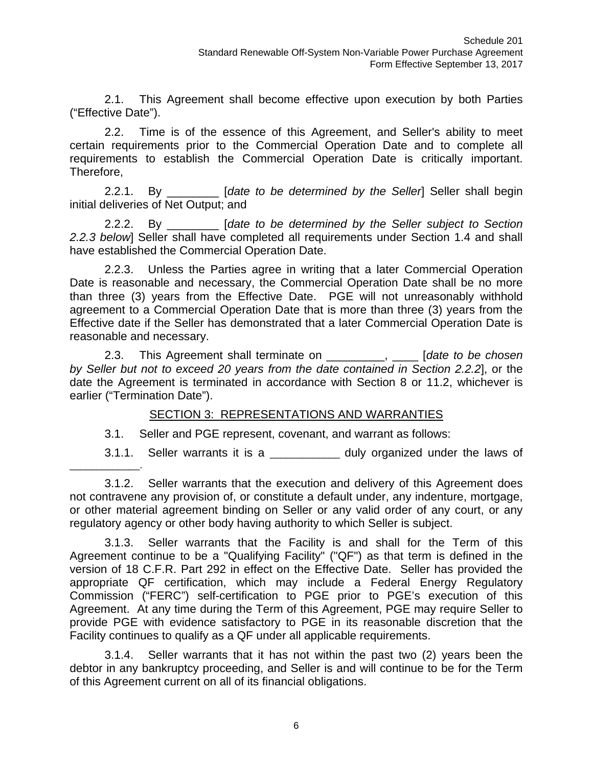2.1. This Agreement shall become effective upon execution by both Parties ("Effective Date").

2.2. Time is of the essence of this Agreement, and Seller's ability to meet certain requirements prior to the Commercial Operation Date and to complete all requirements to establish the Commercial Operation Date is critically important. Therefore,

2.2.1. By \_\_\_\_\_\_\_\_ [*date to be determined by the Seller*] Seller shall begin initial deliveries of Net Output; and

2.2.2. By \_\_\_\_\_\_\_\_ [*date to be determined by the Seller subject to Section 2.2.3 below*] Seller shall have completed all requirements under Section 1.4 and shall have established the Commercial Operation Date.

2.2.3. Unless the Parties agree in writing that a later Commercial Operation Date is reasonable and necessary, the Commercial Operation Date shall be no more than three (3) years from the Effective Date. PGE will not unreasonably withhold agreement to a Commercial Operation Date that is more than three (3) years from the Effective date if the Seller has demonstrated that a later Commercial Operation Date is reasonable and necessary.

2.3. This Agreement shall terminate on \_\_\_\_\_\_\_\_\_, \_\_\_\_ [*date to be chosen by Seller but not to exceed 20 years from the date contained in Section 2.2.2*], or the date the Agreement is terminated in accordance with Section 8 or 11.2, whichever is earlier ("Termination Date").

## SECTION 3: REPRESENTATIONS AND WARRANTIES

3.1. Seller and PGE represent, covenant, and warrant as follows:

3.1.1. Seller warrants it is a \_\_\_\_\_\_\_\_\_\_\_\_\_\_ duly organized under the laws of

3.1.2. Seller warrants that the execution and delivery of this Agreement does not contravene any provision of, or constitute a default under, any indenture, mortgage, or other material agreement binding on Seller or any valid order of any court, or any regulatory agency or other body having authority to which Seller is subject.

3.1.3. Seller warrants that the Facility is and shall for the Term of this Agreement continue to be a "Qualifying Facility" ("QF") as that term is defined in the version of 18 C.F.R. Part 292 in effect on the Effective Date. Seller has provided the appropriate QF certification, which may include a Federal Energy Regulatory Commission ("FERC") self-certification to PGE prior to PGE's execution of this Agreement. At any time during the Term of this Agreement, PGE may require Seller to provide PGE with evidence satisfactory to PGE in its reasonable discretion that the Facility continues to qualify as a QF under all applicable requirements.

3.1.4. Seller warrants that it has not within the past two (2) years been the debtor in any bankruptcy proceeding, and Seller is and will continue to be for the Term of this Agreement current on all of its financial obligations.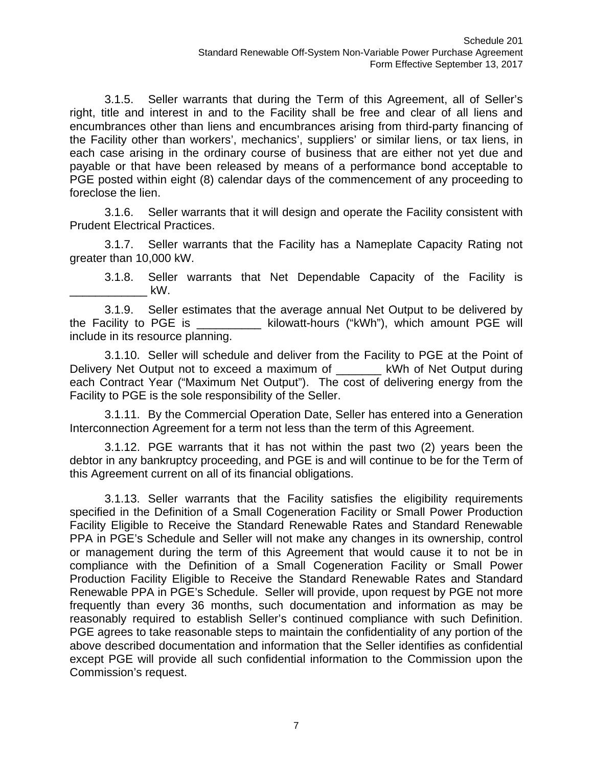3.1.5. Seller warrants that during the Term of this Agreement, all of Seller's right, title and interest in and to the Facility shall be free and clear of all liens and encumbrances other than liens and encumbrances arising from third-party financing of the Facility other than workers', mechanics', suppliers' or similar liens, or tax liens, in each case arising in the ordinary course of business that are either not yet due and payable or that have been released by means of a performance bond acceptable to PGE posted within eight (8) calendar days of the commencement of any proceeding to foreclose the lien.

3.1.6. Seller warrants that it will design and operate the Facility consistent with Prudent Electrical Practices.

3.1.7. Seller warrants that the Facility has a Nameplate Capacity Rating not greater than 10,000 kW.

3.1.8. Seller warrants that Net Dependable Capacity of the Facility is  $kW$ .

3.1.9. Seller estimates that the average annual Net Output to be delivered by the Facility to PGE is The Sulowatt-hours ("kWh"), which amount PGE will include in its resource planning.

3.1.10. Seller will schedule and deliver from the Facility to PGE at the Point of Delivery Net Output not to exceed a maximum of **Example 18 KWh of Net Output during** each Contract Year ("Maximum Net Output"). The cost of delivering energy from the Facility to PGE is the sole responsibility of the Seller.

3.1.11. By the Commercial Operation Date, Seller has entered into a Generation Interconnection Agreement for a term not less than the term of this Agreement.

3.1.12. PGE warrants that it has not within the past two (2) years been the debtor in any bankruptcy proceeding, and PGE is and will continue to be for the Term of this Agreement current on all of its financial obligations.

3.1.13. Seller warrants that the Facility satisfies the eligibility requirements specified in the Definition of a Small Cogeneration Facility or Small Power Production Facility Eligible to Receive the Standard Renewable Rates and Standard Renewable PPA in PGE's Schedule and Seller will not make any changes in its ownership, control or management during the term of this Agreement that would cause it to not be in compliance with the Definition of a Small Cogeneration Facility or Small Power Production Facility Eligible to Receive the Standard Renewable Rates and Standard Renewable PPA in PGE's Schedule. Seller will provide, upon request by PGE not more frequently than every 36 months, such documentation and information as may be reasonably required to establish Seller's continued compliance with such Definition. PGE agrees to take reasonable steps to maintain the confidentiality of any portion of the above described documentation and information that the Seller identifies as confidential except PGE will provide all such confidential information to the Commission upon the Commission's request.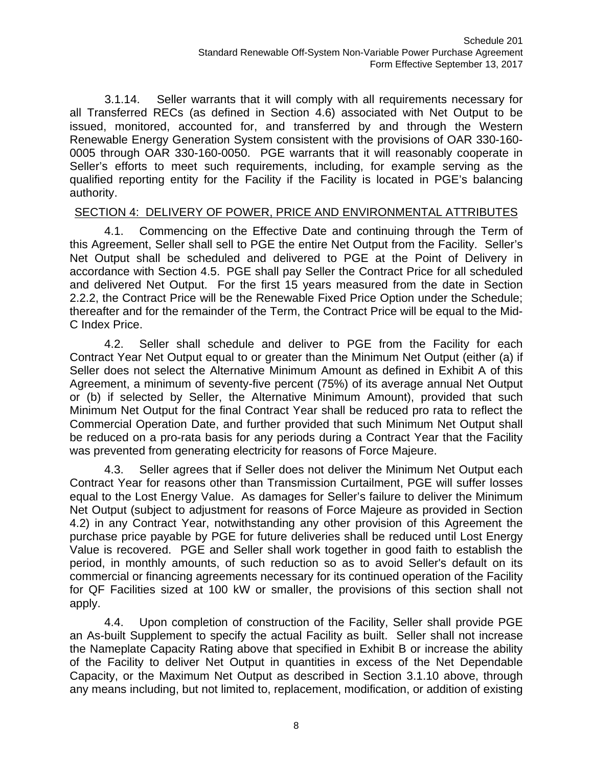3.1.14. Seller warrants that it will comply with all requirements necessary for all Transferred RECs (as defined in Section 4.6) associated with Net Output to be issued, monitored, accounted for, and transferred by and through the Western Renewable Energy Generation System consistent with the provisions of OAR 330-160- 0005 through OAR 330-160-0050. PGE warrants that it will reasonably cooperate in Seller's efforts to meet such requirements, including, for example serving as the qualified reporting entity for the Facility if the Facility is located in PGE's balancing authority.

## SECTION 4: DELIVERY OF POWER, PRICE AND ENVIRONMENTAL ATTRIBUTES

4.1. Commencing on the Effective Date and continuing through the Term of this Agreement, Seller shall sell to PGE the entire Net Output from the Facility. Seller's Net Output shall be scheduled and delivered to PGE at the Point of Delivery in accordance with Section 4.5. PGE shall pay Seller the Contract Price for all scheduled and delivered Net Output. For the first 15 years measured from the date in Section 2.2.2, the Contract Price will be the Renewable Fixed Price Option under the Schedule; thereafter and for the remainder of the Term, the Contract Price will be equal to the Mid-C Index Price.

4.2. Seller shall schedule and deliver to PGE from the Facility for each Contract Year Net Output equal to or greater than the Minimum Net Output (either (a) if Seller does not select the Alternative Minimum Amount as defined in Exhibit A of this Agreement, a minimum of seventy-five percent (75%) of its average annual Net Output or (b) if selected by Seller, the Alternative Minimum Amount), provided that such Minimum Net Output for the final Contract Year shall be reduced pro rata to reflect the Commercial Operation Date, and further provided that such Minimum Net Output shall be reduced on a pro-rata basis for any periods during a Contract Year that the Facility was prevented from generating electricity for reasons of Force Majeure.

4.3. Seller agrees that if Seller does not deliver the Minimum Net Output each Contract Year for reasons other than Transmission Curtailment, PGE will suffer losses equal to the Lost Energy Value. As damages for Seller's failure to deliver the Minimum Net Output (subject to adjustment for reasons of Force Majeure as provided in Section 4.2) in any Contract Year, notwithstanding any other provision of this Agreement the purchase price payable by PGE for future deliveries shall be reduced until Lost Energy Value is recovered. PGE and Seller shall work together in good faith to establish the period, in monthly amounts, of such reduction so as to avoid Seller's default on its commercial or financing agreements necessary for its continued operation of the Facility for QF Facilities sized at 100 kW or smaller, the provisions of this section shall not apply.

4.4. Upon completion of construction of the Facility, Seller shall provide PGE an As-built Supplement to specify the actual Facility as built. Seller shall not increase the Nameplate Capacity Rating above that specified in Exhibit B or increase the ability of the Facility to deliver Net Output in quantities in excess of the Net Dependable Capacity, or the Maximum Net Output as described in Section 3.1.10 above, through any means including, but not limited to, replacement, modification, or addition of existing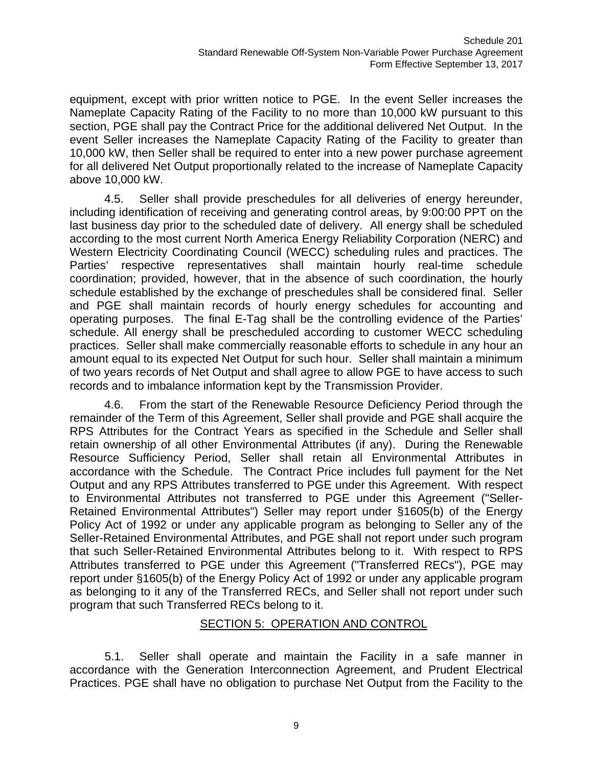equipment, except with prior written notice to PGE. In the event Seller increases the Nameplate Capacity Rating of the Facility to no more than 10,000 kW pursuant to this section, PGE shall pay the Contract Price for the additional delivered Net Output. In the event Seller increases the Nameplate Capacity Rating of the Facility to greater than 10,000 kW, then Seller shall be required to enter into a new power purchase agreement for all delivered Net Output proportionally related to the increase of Nameplate Capacity above 10,000 kW.

4.5. Seller shall provide preschedules for all deliveries of energy hereunder, including identification of receiving and generating control areas, by 9:00:00 PPT on the last business day prior to the scheduled date of delivery. All energy shall be scheduled according to the most current North America Energy Reliability Corporation (NERC) and Western Electricity Coordinating Council (WECC) scheduling rules and practices. The Parties' respective representatives shall maintain hourly real-time schedule coordination; provided, however, that in the absence of such coordination, the hourly schedule established by the exchange of preschedules shall be considered final. Seller and PGE shall maintain records of hourly energy schedules for accounting and operating purposes. The final E-Tag shall be the controlling evidence of the Parties' schedule. All energy shall be prescheduled according to customer WECC scheduling practices. Seller shall make commercially reasonable efforts to schedule in any hour an amount equal to its expected Net Output for such hour. Seller shall maintain a minimum of two years records of Net Output and shall agree to allow PGE to have access to such records and to imbalance information kept by the Transmission Provider.

4.6. From the start of the Renewable Resource Deficiency Period through the remainder of the Term of this Agreement, Seller shall provide and PGE shall acquire the RPS Attributes for the Contract Years as specified in the Schedule and Seller shall retain ownership of all other Environmental Attributes (if any). During the Renewable Resource Sufficiency Period, Seller shall retain all Environmental Attributes in accordance with the Schedule. The Contract Price includes full payment for the Net Output and any RPS Attributes transferred to PGE under this Agreement. With respect to Environmental Attributes not transferred to PGE under this Agreement ("Seller-Retained Environmental Attributes") Seller may report under §1605(b) of the Energy Policy Act of 1992 or under any applicable program as belonging to Seller any of the Seller-Retained Environmental Attributes, and PGE shall not report under such program that such Seller-Retained Environmental Attributes belong to it. With respect to RPS Attributes transferred to PGE under this Agreement ("Transferred RECs"), PGE may report under §1605(b) of the Energy Policy Act of 1992 or under any applicable program as belonging to it any of the Transferred RECs, and Seller shall not report under such program that such Transferred RECs belong to it.

## SECTION 5: OPERATION AND CONTROL

5.1. Seller shall operate and maintain the Facility in a safe manner in accordance with the Generation Interconnection Agreement, and Prudent Electrical Practices. PGE shall have no obligation to purchase Net Output from the Facility to the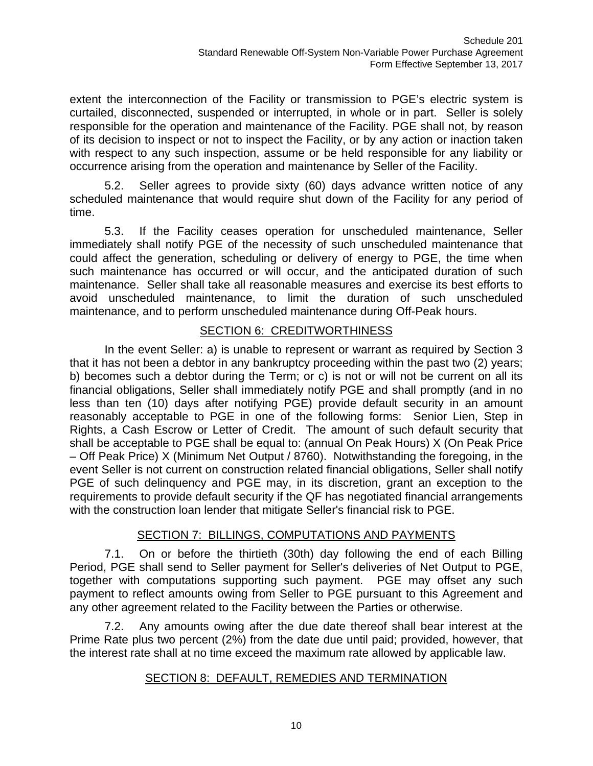extent the interconnection of the Facility or transmission to PGE's electric system is curtailed, disconnected, suspended or interrupted, in whole or in part. Seller is solely responsible for the operation and maintenance of the Facility. PGE shall not, by reason of its decision to inspect or not to inspect the Facility, or by any action or inaction taken with respect to any such inspection, assume or be held responsible for any liability or occurrence arising from the operation and maintenance by Seller of the Facility.

5.2. Seller agrees to provide sixty (60) days advance written notice of any scheduled maintenance that would require shut down of the Facility for any period of time.

5.3. If the Facility ceases operation for unscheduled maintenance, Seller immediately shall notify PGE of the necessity of such unscheduled maintenance that could affect the generation, scheduling or delivery of energy to PGE, the time when such maintenance has occurred or will occur, and the anticipated duration of such maintenance. Seller shall take all reasonable measures and exercise its best efforts to avoid unscheduled maintenance, to limit the duration of such unscheduled maintenance, and to perform unscheduled maintenance during Off-Peak hours.

# SECTION 6: CREDITWORTHINESS

In the event Seller: a) is unable to represent or warrant as required by Section 3 that it has not been a debtor in any bankruptcy proceeding within the past two (2) years; b) becomes such a debtor during the Term; or c) is not or will not be current on all its financial obligations, Seller shall immediately notify PGE and shall promptly (and in no less than ten (10) days after notifying PGE) provide default security in an amount reasonably acceptable to PGE in one of the following forms: Senior Lien, Step in Rights, a Cash Escrow or Letter of Credit. The amount of such default security that shall be acceptable to PGE shall be equal to: (annual On Peak Hours) X (On Peak Price – Off Peak Price) X (Minimum Net Output / 8760). Notwithstanding the foregoing, in the event Seller is not current on construction related financial obligations, Seller shall notify PGE of such delinquency and PGE may, in its discretion, grant an exception to the requirements to provide default security if the QF has negotiated financial arrangements with the construction loan lender that mitigate Seller's financial risk to PGE.

# SECTION 7: BILLINGS, COMPUTATIONS AND PAYMENTS

7.1. On or before the thirtieth (30th) day following the end of each Billing Period, PGE shall send to Seller payment for Seller's deliveries of Net Output to PGE, together with computations supporting such payment. PGE may offset any such payment to reflect amounts owing from Seller to PGE pursuant to this Agreement and any other agreement related to the Facility between the Parties or otherwise.

7.2. Any amounts owing after the due date thereof shall bear interest at the Prime Rate plus two percent (2%) from the date due until paid; provided, however, that the interest rate shall at no time exceed the maximum rate allowed by applicable law.

# SECTION 8: DEFAULT, REMEDIES AND TERMINATION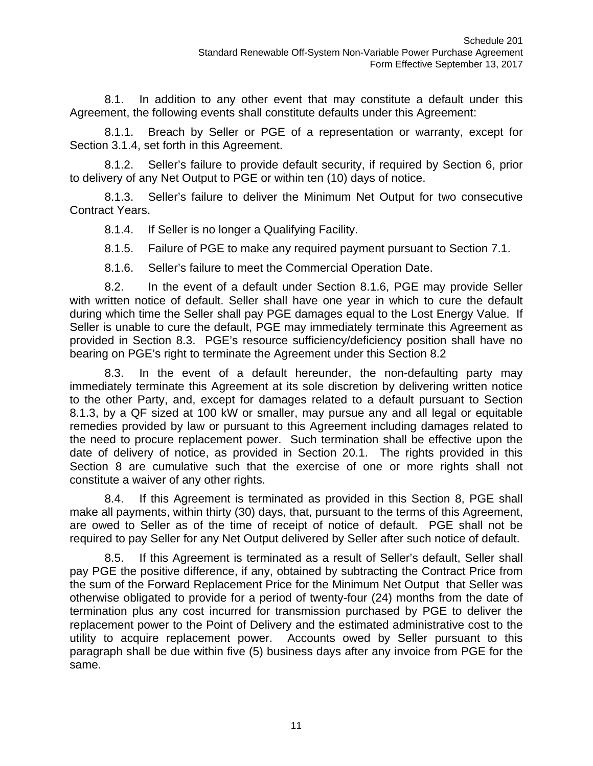8.1. In addition to any other event that may constitute a default under this Agreement, the following events shall constitute defaults under this Agreement:

8.1.1. Breach by Seller or PGE of a representation or warranty, except for Section 3.1.4, set forth in this Agreement.

8.1.2. Seller's failure to provide default security, if required by Section 6, prior to delivery of any Net Output to PGE or within ten (10) days of notice.

8.1.3. Seller's failure to deliver the Minimum Net Output for two consecutive Contract Years.

8.1.4. If Seller is no longer a Qualifying Facility.

8.1.5. Failure of PGE to make any required payment pursuant to Section 7.1.

8.1.6. Seller's failure to meet the Commercial Operation Date.

8.2. In the event of a default under Section 8.1.6, PGE may provide Seller with written notice of default. Seller shall have one year in which to cure the default during which time the Seller shall pay PGE damages equal to the Lost Energy Value. If Seller is unable to cure the default, PGE may immediately terminate this Agreement as provided in Section 8.3. PGE's resource sufficiency/deficiency position shall have no bearing on PGE's right to terminate the Agreement under this Section 8.2

8.3. In the event of a default hereunder, the non-defaulting party may immediately terminate this Agreement at its sole discretion by delivering written notice to the other Party, and, except for damages related to a default pursuant to Section 8.1.3, by a QF sized at 100 kW or smaller, may pursue any and all legal or equitable remedies provided by law or pursuant to this Agreement including damages related to the need to procure replacement power. Such termination shall be effective upon the date of delivery of notice, as provided in Section 20.1. The rights provided in this Section 8 are cumulative such that the exercise of one or more rights shall not constitute a waiver of any other rights.

8.4. If this Agreement is terminated as provided in this Section 8, PGE shall make all payments, within thirty (30) days, that, pursuant to the terms of this Agreement, are owed to Seller as of the time of receipt of notice of default. PGE shall not be required to pay Seller for any Net Output delivered by Seller after such notice of default.

8.5. If this Agreement is terminated as a result of Seller's default, Seller shall pay PGE the positive difference, if any, obtained by subtracting the Contract Price from the sum of the Forward Replacement Price for the Minimum Net Output that Seller was otherwise obligated to provide for a period of twenty-four (24) months from the date of termination plus any cost incurred for transmission purchased by PGE to deliver the replacement power to the Point of Delivery and the estimated administrative cost to the utility to acquire replacement power. Accounts owed by Seller pursuant to this paragraph shall be due within five (5) business days after any invoice from PGE for the same.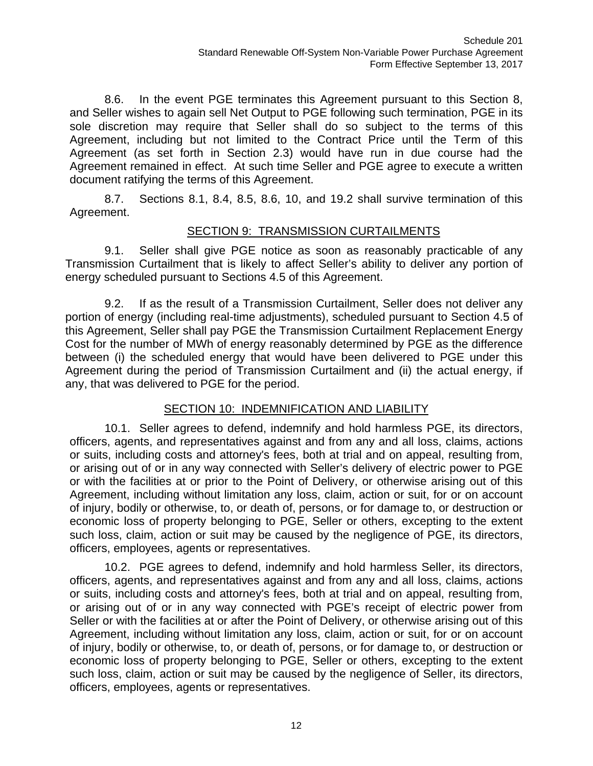8.6. In the event PGE terminates this Agreement pursuant to this Section 8, and Seller wishes to again sell Net Output to PGE following such termination, PGE in its sole discretion may require that Seller shall do so subject to the terms of this Agreement, including but not limited to the Contract Price until the Term of this Agreement (as set forth in Section 2.3) would have run in due course had the Agreement remained in effect. At such time Seller and PGE agree to execute a written document ratifying the terms of this Agreement.

8.7. Sections 8.1, 8.4, 8.5, 8.6, 10, and 19.2 shall survive termination of this Agreement.

# SECTION 9: TRANSMISSION CURTAILMENTS

9.1. Seller shall give PGE notice as soon as reasonably practicable of any Transmission Curtailment that is likely to affect Seller's ability to deliver any portion of energy scheduled pursuant to Sections 4.5 of this Agreement.

9.2. If as the result of a Transmission Curtailment, Seller does not deliver any portion of energy (including real-time adjustments), scheduled pursuant to Section 4.5 of this Agreement, Seller shall pay PGE the Transmission Curtailment Replacement Energy Cost for the number of MWh of energy reasonably determined by PGE as the difference between (i) the scheduled energy that would have been delivered to PGE under this Agreement during the period of Transmission Curtailment and (ii) the actual energy, if any, that was delivered to PGE for the period.

# SECTION 10: INDEMNIFICATION AND LIABILITY

10.1. Seller agrees to defend, indemnify and hold harmless PGE, its directors, officers, agents, and representatives against and from any and all loss, claims, actions or suits, including costs and attorney's fees, both at trial and on appeal, resulting from, or arising out of or in any way connected with Seller's delivery of electric power to PGE or with the facilities at or prior to the Point of Delivery, or otherwise arising out of this Agreement, including without limitation any loss, claim, action or suit, for or on account of injury, bodily or otherwise, to, or death of, persons, or for damage to, or destruction or economic loss of property belonging to PGE, Seller or others, excepting to the extent such loss, claim, action or suit may be caused by the negligence of PGE, its directors, officers, employees, agents or representatives.

10.2. PGE agrees to defend, indemnify and hold harmless Seller, its directors, officers, agents, and representatives against and from any and all loss, claims, actions or suits, including costs and attorney's fees, both at trial and on appeal, resulting from, or arising out of or in any way connected with PGE's receipt of electric power from Seller or with the facilities at or after the Point of Delivery, or otherwise arising out of this Agreement, including without limitation any loss, claim, action or suit, for or on account of injury, bodily or otherwise, to, or death of, persons, or for damage to, or destruction or economic loss of property belonging to PGE, Seller or others, excepting to the extent such loss, claim, action or suit may be caused by the negligence of Seller, its directors, officers, employees, agents or representatives.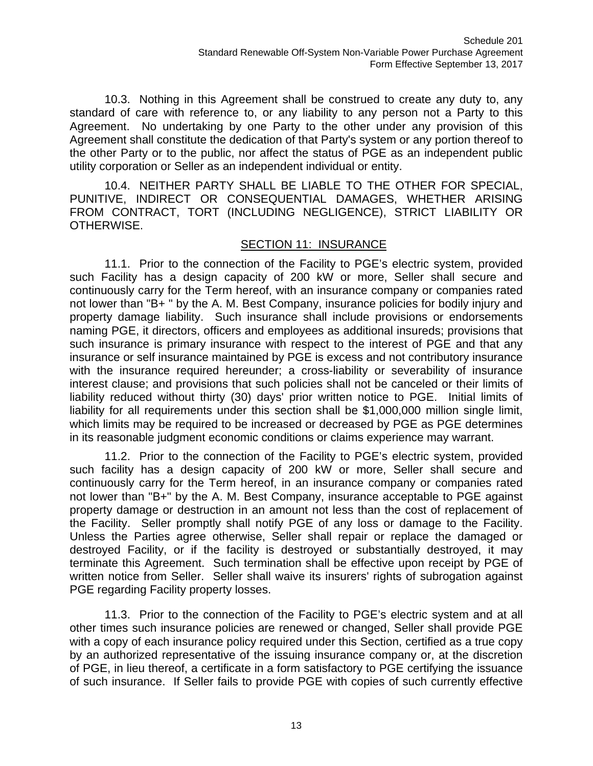10.3. Nothing in this Agreement shall be construed to create any duty to, any standard of care with reference to, or any liability to any person not a Party to this Agreement. No undertaking by one Party to the other under any provision of this Agreement shall constitute the dedication of that Party's system or any portion thereof to the other Party or to the public, nor affect the status of PGE as an independent public utility corporation or Seller as an independent individual or entity.

10.4. NEITHER PARTY SHALL BE LIABLE TO THE OTHER FOR SPECIAL, PUNITIVE, INDIRECT OR CONSEQUENTIAL DAMAGES, WHETHER ARISING FROM CONTRACT, TORT (INCLUDING NEGLIGENCE), STRICT LIABILITY OR OTHERWISE.

#### SECTION 11: INSURANCE

11.1. Prior to the connection of the Facility to PGE's electric system, provided such Facility has a design capacity of 200 kW or more, Seller shall secure and continuously carry for the Term hereof, with an insurance company or companies rated not lower than "B+ " by the A. M. Best Company, insurance policies for bodily injury and property damage liability. Such insurance shall include provisions or endorsements naming PGE, it directors, officers and employees as additional insureds; provisions that such insurance is primary insurance with respect to the interest of PGE and that any insurance or self insurance maintained by PGE is excess and not contributory insurance with the insurance required hereunder; a cross-liability or severability of insurance interest clause; and provisions that such policies shall not be canceled or their limits of liability reduced without thirty (30) days' prior written notice to PGE. Initial limits of liability for all requirements under this section shall be \$1,000,000 million single limit, which limits may be required to be increased or decreased by PGE as PGE determines in its reasonable judgment economic conditions or claims experience may warrant.

11.2. Prior to the connection of the Facility to PGE's electric system, provided such facility has a design capacity of 200 kW or more, Seller shall secure and continuously carry for the Term hereof, in an insurance company or companies rated not lower than "B+" by the A. M. Best Company, insurance acceptable to PGE against property damage or destruction in an amount not less than the cost of replacement of the Facility. Seller promptly shall notify PGE of any loss or damage to the Facility. Unless the Parties agree otherwise, Seller shall repair or replace the damaged or destroyed Facility, or if the facility is destroyed or substantially destroyed, it may terminate this Agreement. Such termination shall be effective upon receipt by PGE of written notice from Seller. Seller shall waive its insurers' rights of subrogation against PGE regarding Facility property losses.

11.3. Prior to the connection of the Facility to PGE's electric system and at all other times such insurance policies are renewed or changed, Seller shall provide PGE with a copy of each insurance policy required under this Section, certified as a true copy by an authorized representative of the issuing insurance company or, at the discretion of PGE, in lieu thereof, a certificate in a form satisfactory to PGE certifying the issuance of such insurance. If Seller fails to provide PGE with copies of such currently effective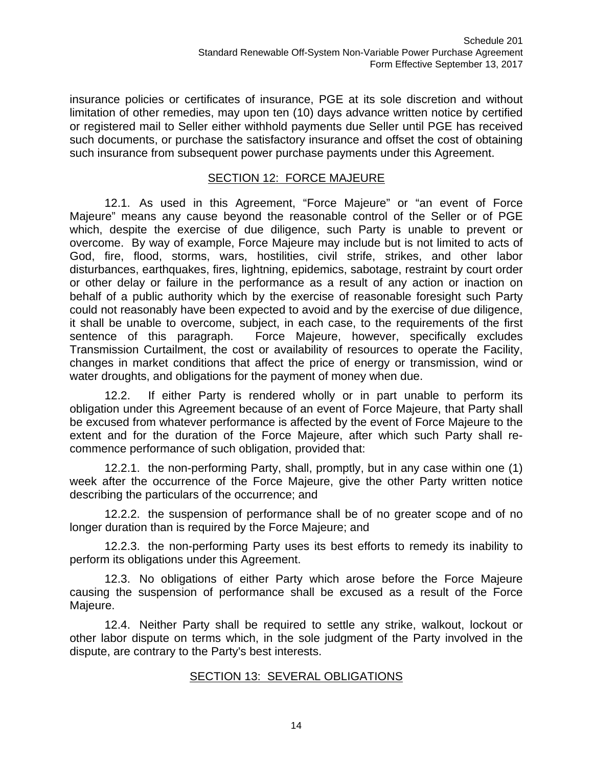insurance policies or certificates of insurance, PGE at its sole discretion and without limitation of other remedies, may upon ten (10) days advance written notice by certified or registered mail to Seller either withhold payments due Seller until PGE has received such documents, or purchase the satisfactory insurance and offset the cost of obtaining such insurance from subsequent power purchase payments under this Agreement.

## SECTION 12: FORCE MAJEURE

12.1. As used in this Agreement, "Force Majeure" or "an event of Force Majeure" means any cause beyond the reasonable control of the Seller or of PGE which, despite the exercise of due diligence, such Party is unable to prevent or overcome. By way of example, Force Majeure may include but is not limited to acts of God, fire, flood, storms, wars, hostilities, civil strife, strikes, and other labor disturbances, earthquakes, fires, lightning, epidemics, sabotage, restraint by court order or other delay or failure in the performance as a result of any action or inaction on behalf of a public authority which by the exercise of reasonable foresight such Party could not reasonably have been expected to avoid and by the exercise of due diligence, it shall be unable to overcome, subject, in each case, to the requirements of the first sentence of this paragraph. Force Majeure, however, specifically excludes Transmission Curtailment, the cost or availability of resources to operate the Facility, changes in market conditions that affect the price of energy or transmission, wind or water droughts, and obligations for the payment of money when due.

12.2. If either Party is rendered wholly or in part unable to perform its obligation under this Agreement because of an event of Force Majeure, that Party shall be excused from whatever performance is affected by the event of Force Majeure to the extent and for the duration of the Force Majeure, after which such Party shall recommence performance of such obligation, provided that:

12.2.1. the non-performing Party, shall, promptly, but in any case within one (1) week after the occurrence of the Force Majeure, give the other Party written notice describing the particulars of the occurrence; and

12.2.2. the suspension of performance shall be of no greater scope and of no longer duration than is required by the Force Majeure; and

12.2.3. the non-performing Party uses its best efforts to remedy its inability to perform its obligations under this Agreement.

12.3. No obligations of either Party which arose before the Force Majeure causing the suspension of performance shall be excused as a result of the Force Majeure.

12.4. Neither Party shall be required to settle any strike, walkout, lockout or other labor dispute on terms which, in the sole judgment of the Party involved in the dispute, are contrary to the Party's best interests.

## SECTION 13: SEVERAL OBLIGATIONS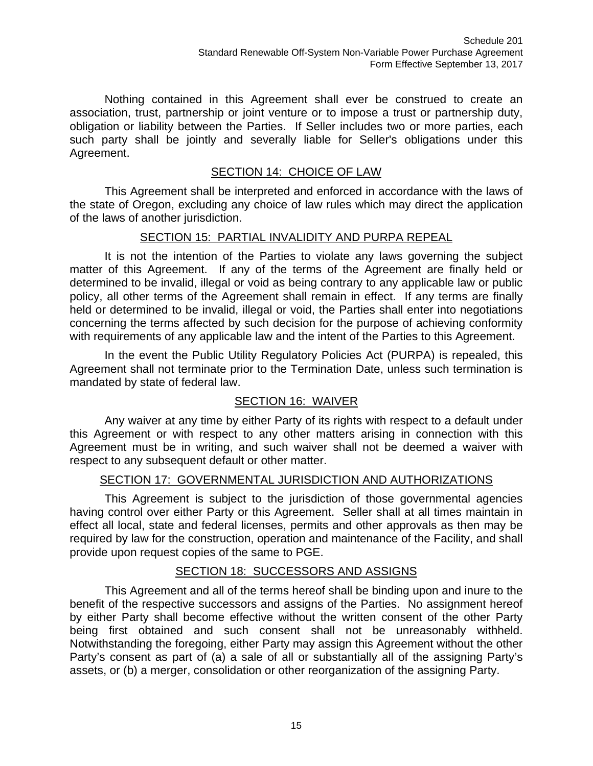Nothing contained in this Agreement shall ever be construed to create an association, trust, partnership or joint venture or to impose a trust or partnership duty, obligation or liability between the Parties. If Seller includes two or more parties, each such party shall be jointly and severally liable for Seller's obligations under this Agreement.

## SECTION 14: CHOICE OF LAW

This Agreement shall be interpreted and enforced in accordance with the laws of the state of Oregon, excluding any choice of law rules which may direct the application of the laws of another jurisdiction.

## SECTION 15: PARTIAL INVALIDITY AND PURPA REPEAL

It is not the intention of the Parties to violate any laws governing the subject matter of this Agreement. If any of the terms of the Agreement are finally held or determined to be invalid, illegal or void as being contrary to any applicable law or public policy, all other terms of the Agreement shall remain in effect. If any terms are finally held or determined to be invalid, illegal or void, the Parties shall enter into negotiations concerning the terms affected by such decision for the purpose of achieving conformity with requirements of any applicable law and the intent of the Parties to this Agreement.

In the event the Public Utility Regulatory Policies Act (PURPA) is repealed, this Agreement shall not terminate prior to the Termination Date, unless such termination is mandated by state of federal law.

# SECTION 16: WAIVER

Any waiver at any time by either Party of its rights with respect to a default under this Agreement or with respect to any other matters arising in connection with this Agreement must be in writing, and such waiver shall not be deemed a waiver with respect to any subsequent default or other matter.

## SECTION 17: GOVERNMENTAL JURISDICTION AND AUTHORIZATIONS

This Agreement is subject to the jurisdiction of those governmental agencies having control over either Party or this Agreement. Seller shall at all times maintain in effect all local, state and federal licenses, permits and other approvals as then may be required by law for the construction, operation and maintenance of the Facility, and shall provide upon request copies of the same to PGE.

## SECTION 18: SUCCESSORS AND ASSIGNS

This Agreement and all of the terms hereof shall be binding upon and inure to the benefit of the respective successors and assigns of the Parties. No assignment hereof by either Party shall become effective without the written consent of the other Party being first obtained and such consent shall not be unreasonably withheld. Notwithstanding the foregoing, either Party may assign this Agreement without the other Party's consent as part of (a) a sale of all or substantially all of the assigning Party's assets, or (b) a merger, consolidation or other reorganization of the assigning Party.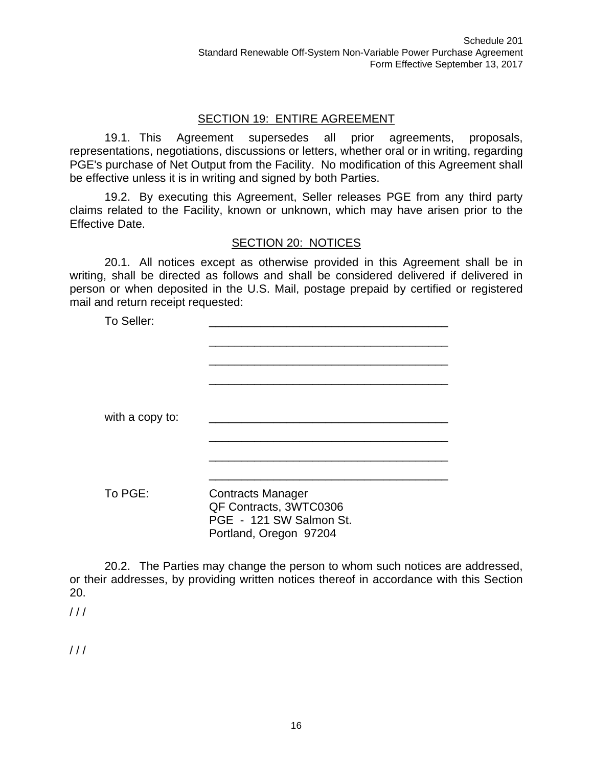## SECTION 19: ENTIRE AGREEMENT

19.1. This Agreement supersedes all prior agreements, proposals, representations, negotiations, discussions or letters, whether oral or in writing, regarding PGE's purchase of Net Output from the Facility. No modification of this Agreement shall be effective unless it is in writing and signed by both Parties.

19.2. By executing this Agreement, Seller releases PGE from any third party claims related to the Facility, known or unknown, which may have arisen prior to the Effective Date.

## SECTION 20: NOTICES

20.1. All notices except as otherwise provided in this Agreement shall be in writing, shall be directed as follows and shall be considered delivered if delivered in person or when deposited in the U.S. Mail, postage prepaid by certified or registered mail and return receipt requested:

| To Seller:      |                                                                                                         |  |
|-----------------|---------------------------------------------------------------------------------------------------------|--|
| with a copy to: |                                                                                                         |  |
| To PGE:         | <b>Contracts Manager</b><br>QF Contracts, 3WTC0306<br>PGE - 121 SW Salmon St.<br>Portland, Oregon 97204 |  |

20.2. The Parties may change the person to whom such notices are addressed, or their addresses, by providing written notices thereof in accordance with this Section 20.

 $111$ 

 $111$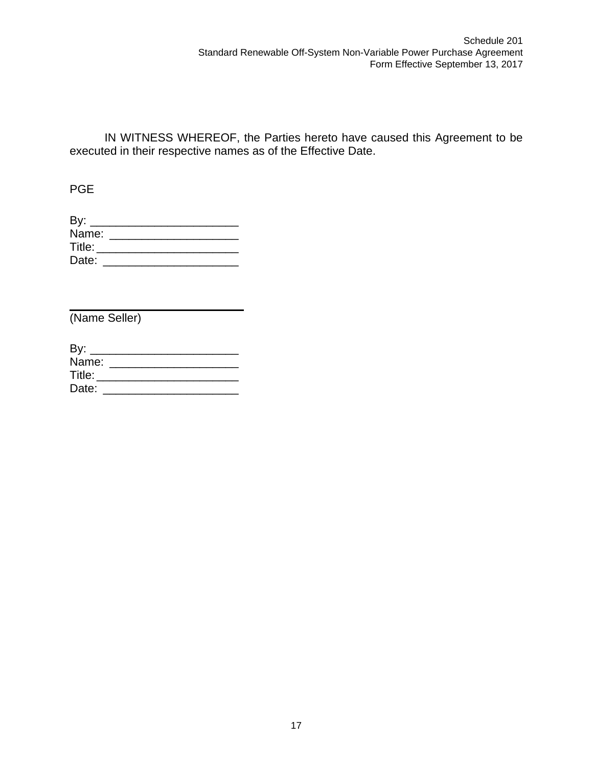IN WITNESS WHEREOF, the Parties hereto have caused this Agreement to be executed in their respective names as of the Effective Date.

PGE

| By:    |  |  |  |
|--------|--|--|--|
| Name:  |  |  |  |
| Title: |  |  |  |
| Date:  |  |  |  |

(Name Seller)

| By:    |  |  |  |
|--------|--|--|--|
| Name:  |  |  |  |
| Title: |  |  |  |
| Date:  |  |  |  |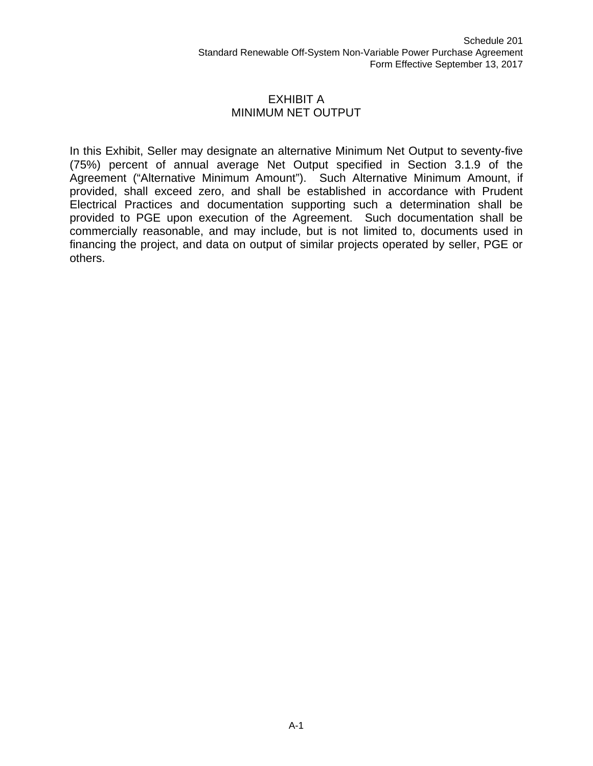#### EXHIBIT A MINIMUM NET OUTPUT

In this Exhibit, Seller may designate an alternative Minimum Net Output to seventy-five (75%) percent of annual average Net Output specified in Section 3.1.9 of the Agreement ("Alternative Minimum Amount"). Such Alternative Minimum Amount, if provided, shall exceed zero, and shall be established in accordance with Prudent Electrical Practices and documentation supporting such a determination shall be provided to PGE upon execution of the Agreement. Such documentation shall be commercially reasonable, and may include, but is not limited to, documents used in financing the project, and data on output of similar projects operated by seller, PGE or others.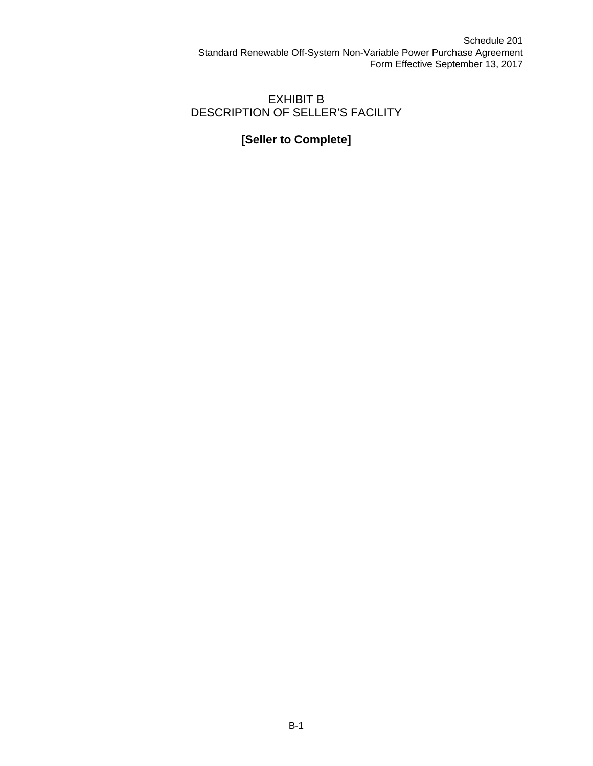# EXHIBIT B DESCRIPTION OF SELLER'S FACILITY

# **[Seller to Complete]**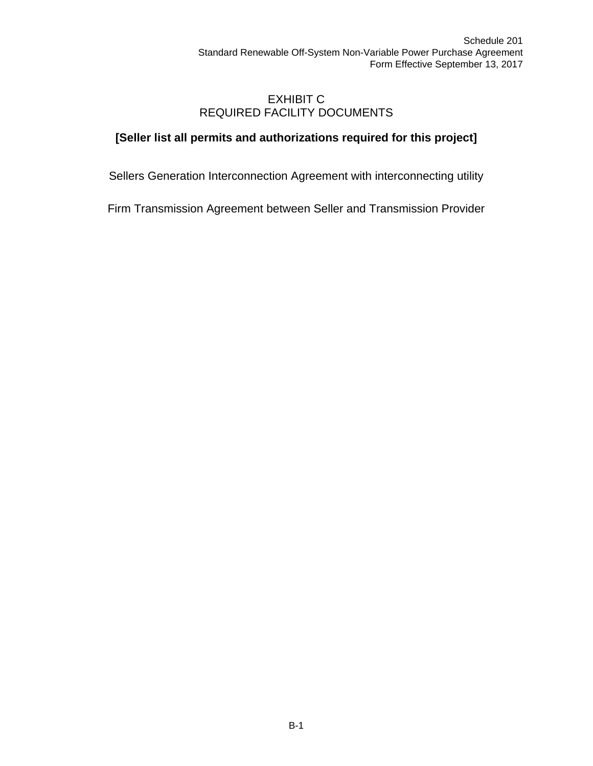## EXHIBIT C REQUIRED FACILITY DOCUMENTS

# **[Seller list all permits and authorizations required for this project]**

Sellers Generation Interconnection Agreement with interconnecting utility

Firm Transmission Agreement between Seller and Transmission Provider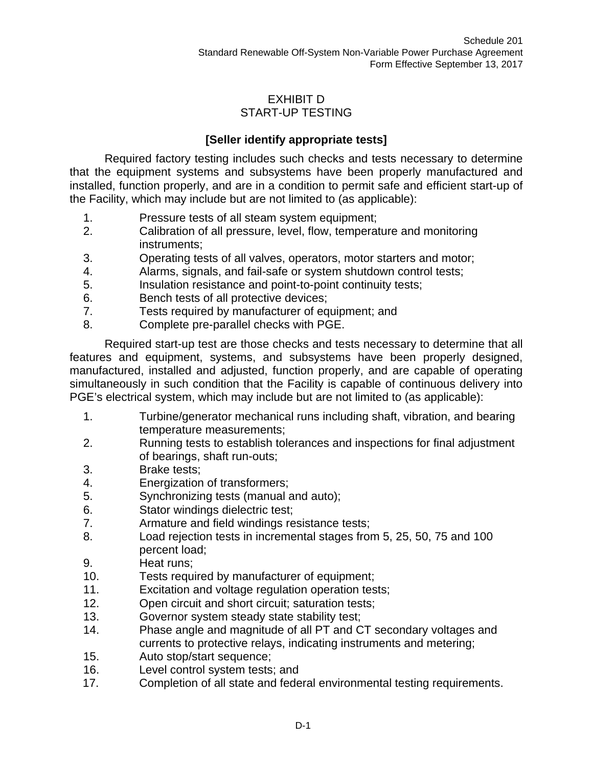## EXHIBIT D START-UP TESTING

# **[Seller identify appropriate tests]**

Required factory testing includes such checks and tests necessary to determine that the equipment systems and subsystems have been properly manufactured and installed, function properly, and are in a condition to permit safe and efficient start-up of the Facility, which may include but are not limited to (as applicable):

- 1. Pressure tests of all steam system equipment;
- 2. Calibration of all pressure, level, flow, temperature and monitoring instruments;
- 3. Operating tests of all valves, operators, motor starters and motor;
- 4. Alarms, signals, and fail-safe or system shutdown control tests;
- 5. Insulation resistance and point-to-point continuity tests;
- 6. Bench tests of all protective devices;
- 7. Tests required by manufacturer of equipment; and
- 8. Complete pre-parallel checks with PGE.

Required start-up test are those checks and tests necessary to determine that all features and equipment, systems, and subsystems have been properly designed, manufactured, installed and adjusted, function properly, and are capable of operating simultaneously in such condition that the Facility is capable of continuous delivery into PGE's electrical system, which may include but are not limited to (as applicable):

- 1. Turbine/generator mechanical runs including shaft, vibration, and bearing temperature measurements;
- 2. Running tests to establish tolerances and inspections for final adjustment of bearings, shaft run-outs;
- 3. Brake tests;
- 4. Energization of transformers;
- 5. Synchronizing tests (manual and auto);
- 6. Stator windings dielectric test;
- 7. Armature and field windings resistance tests;
- 8. Load rejection tests in incremental stages from 5, 25, 50, 75 and 100 percent load;
- 9. Heat runs;
- 10. Tests required by manufacturer of equipment;
- 11. Excitation and voltage regulation operation tests;
- 12. Open circuit and short circuit; saturation tests;
- 13. Governor system steady state stability test;
- 14. Phase angle and magnitude of all PT and CT secondary voltages and currents to protective relays, indicating instruments and metering;
- 15. Auto stop/start sequence;
- 16. Level control system tests; and
- 17. Completion of all state and federal environmental testing requirements.